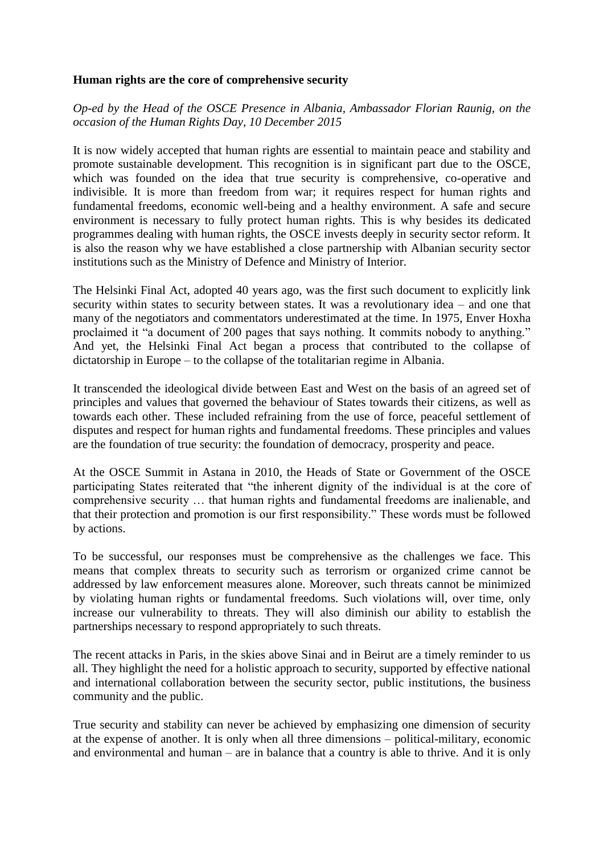## **Human rights are the core of comprehensive security**

*Op-ed by the Head of the OSCE Presence in Albania, Ambassador Florian Raunig, on the occasion of the Human Rights Day, 10 December 2015*

It is now widely accepted that human rights are essential to maintain peace and stability and promote sustainable development. This recognition is in significant part due to the OSCE, which was founded on the idea that true security is comprehensive, co-operative and indivisible. It is more than freedom from war; it requires respect for human rights and fundamental freedoms, economic well-being and a healthy environment. A safe and secure environment is necessary to fully protect human rights. This is why besides its dedicated programmes dealing with human rights, the OSCE invests deeply in security sector reform. It is also the reason why we have established a close partnership with Albanian security sector institutions such as the Ministry of Defence and Ministry of Interior.

The Helsinki Final Act, adopted 40 years ago, was the first such document to explicitly link security within states to security between states. It was a revolutionary idea – and one that many of the negotiators and commentators underestimated at the time. In 1975, Enver Hoxha proclaimed it "a document of 200 pages that says nothing. It commits nobody to anything." And yet, the Helsinki Final Act began a process that contributed to the collapse of dictatorship in Europe – to the collapse of the totalitarian regime in Albania.

It transcended the ideological divide between East and West on the basis of an agreed set of principles and values that governed the behaviour of States towards their citizens, as well as towards each other. These included refraining from the use of force, peaceful settlement of disputes and respect for human rights and fundamental freedoms. These principles and values are the foundation of true security: the foundation of democracy, prosperity and peace.

At the OSCE Summit in Astana in 2010, the Heads of State or Government of the OSCE participating States reiterated that "the inherent dignity of the individual is at the core of comprehensive security … that human rights and fundamental freedoms are inalienable, and that their protection and promotion is our first responsibility." These words must be followed by actions.

To be successful, our responses must be comprehensive as the challenges we face. This means that complex threats to security such as terrorism or organized crime cannot be addressed by law enforcement measures alone. Moreover, such threats cannot be minimized by violating human rights or fundamental freedoms. Such violations will, over time, only increase our vulnerability to threats. They will also diminish our ability to establish the partnerships necessary to respond appropriately to such threats.

The recent attacks in Paris, in the skies above Sinai and in Beirut are a timely reminder to us all. They highlight the need for a holistic approach to security, supported by effective national and international collaboration between the security sector, public institutions, the business community and the public.

True security and stability can never be achieved by emphasizing one dimension of security at the expense of another. It is only when all three dimensions – political-military, economic and environmental and human – are in balance that a country is able to thrive. And it is only